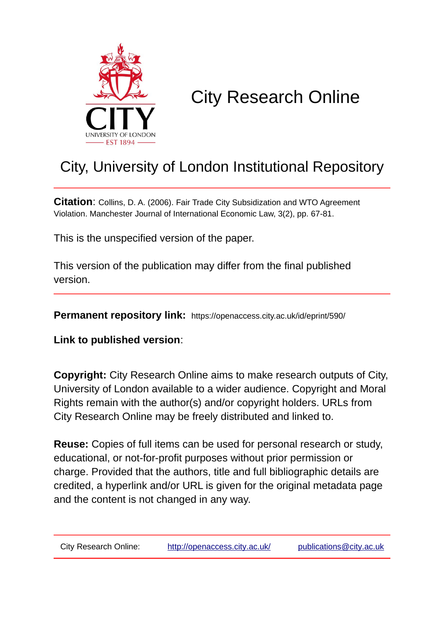

# City Research Online

# City, University of London Institutional Repository

**Citation**: Collins, D. A. (2006). Fair Trade City Subsidization and WTO Agreement Violation. Manchester Journal of International Economic Law, 3(2), pp. 67-81.

This is the unspecified version of the paper.

This version of the publication may differ from the final published version.

**Permanent repository link:** https://openaccess.city.ac.uk/id/eprint/590/

**Link to published version**:

**Copyright:** City Research Online aims to make research outputs of City, University of London available to a wider audience. Copyright and Moral Rights remain with the author(s) and/or copyright holders. URLs from City Research Online may be freely distributed and linked to.

**Reuse:** Copies of full items can be used for personal research or study, educational, or not-for-profit purposes without prior permission or charge. Provided that the authors, title and full bibliographic details are credited, a hyperlink and/or URL is given for the original metadata page and the content is not changed in any way.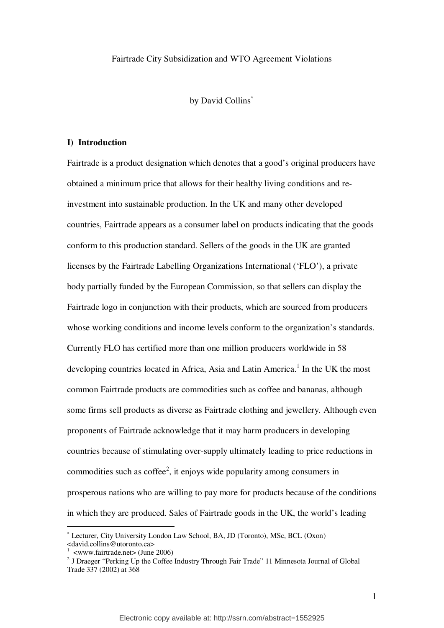#### by David Collins<sup>\*</sup>

### **I) Introduction**

Fairtrade is a product designation which denotes that a good's original producers have obtained a minimum price that allows for their healthy living conditions and reinvestment into sustainable production. In the UK and many other developed countries, Fairtrade appears as a consumer label on products indicating that the goods conform to this production standard. Sellers of the goods in the UK are granted licenses by the Fairtrade Labelling Organizations International ('FLO'), a private body partially funded by the European Commission, so that sellers can display the Fairtrade logo in conjunction with their products, which are sourced from producers whose working conditions and income levels conform to the organization's standards. Currently FLO has certified more than one million producers worldwide in 58 developing countries located in Africa, Asia and Latin America.<sup>1</sup> In the UK the most common Fairtrade products are commodities such as coffee and bananas, although some firms sell products as diverse as Fairtrade clothing and jewellery. Although even proponents of Fairtrade acknowledge that it may harm producers in developing countries because of stimulating over-supply ultimately leading to price reductions in commodities such as coffee<sup>2</sup>, it enjoys wide popularity among consumers in prosperous nations who are willing to pay more for products because of the conditions in which they are produced. Sales of Fairtrade goods in the UK, the world's leading

<sup>∗</sup> Lecturer, City University London Law School, BA, JD (Toronto), MSc, BCL (Oxon) <david.collins@utoronto.ca>

 $<sup>1</sup>$  <www.fairtrade.net> (June 2006)</sup>

<sup>&</sup>lt;sup>2</sup> J Draeger "Perking Up the Coffee Industry Through Fair Trade" 11 Minnesota Journal of Global Trade 337 (2002) at 368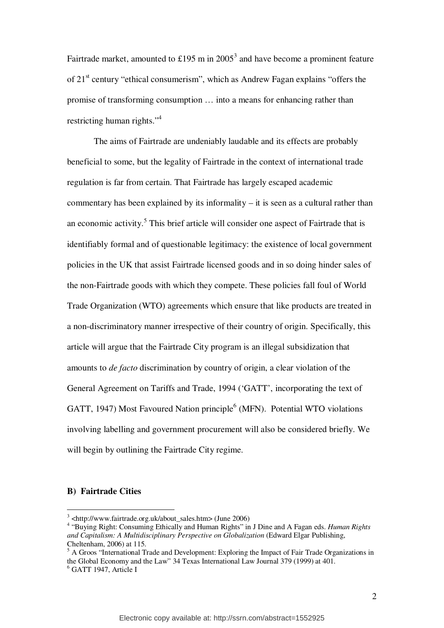Fairtrade market, amounted to £195 m in  $2005<sup>3</sup>$  and have become a prominent feature of 21st century "ethical consumerism", which as Andrew Fagan explains "offers the promise of transforming consumption … into a means for enhancing rather than restricting human rights."<sup>4</sup>

The aims of Fairtrade are undeniably laudable and its effects are probably beneficial to some, but the legality of Fairtrade in the context of international trade regulation is far from certain. That Fairtrade has largely escaped academic commentary has been explained by its informality – it is seen as a cultural rather than an economic activity.<sup>5</sup> This brief article will consider one aspect of Fairtrade that is identifiably formal and of questionable legitimacy: the existence of local government policies in the UK that assist Fairtrade licensed goods and in so doing hinder sales of the non-Fairtrade goods with which they compete. These policies fall foul of World Trade Organization (WTO) agreements which ensure that like products are treated in a non-discriminatory manner irrespective of their country of origin. Specifically, this article will argue that the Fairtrade City program is an illegal subsidization that amounts to *de facto* discrimination by country of origin, a clear violation of the General Agreement on Tariffs and Trade, 1994 ('GATT', incorporating the text of GATT, 1947) Most Favoured Nation principle<sup>6</sup> (MFN). Potential WTO violations involving labelling and government procurement will also be considered briefly. We will begin by outlining the Fairtrade City regime.

# **B) Fairtrade Cities**

 3 <http://www.fairtrade.org.uk/about\_sales.htm> (June 2006)

<sup>4</sup> "Buying Right: Consuming Ethically and Human Rights" in J Dine and A Fagan eds. *Human Rights and Capitalism: A Multidisciplinary Perspective on Globalization* (Edward Elgar Publishing, Cheltenham, 2006) at 115.

<sup>&</sup>lt;sup>5</sup> A Groos "International Trade and Development: Exploring the Impact of Fair Trade Organizations in the Global Economy and the Law" 34 Texas International Law Journal 379 (1999) at 401. 6 GATT 1947, Article I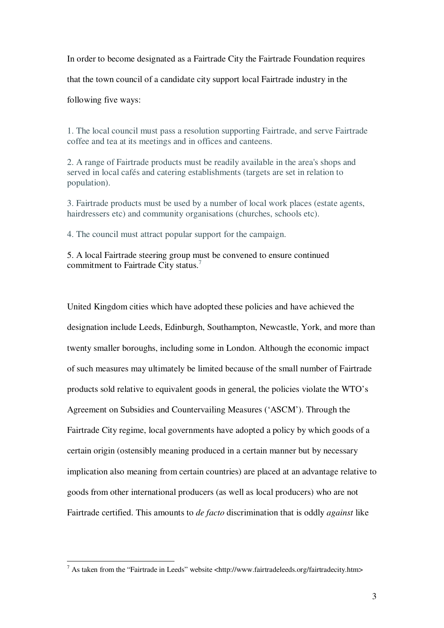In order to become designated as a Fairtrade City the Fairtrade Foundation requires

that the town council of a candidate city support local Fairtrade industry in the

following five ways:

1. The local council must pass a resolution supporting Fairtrade, and serve Fairtrade coffee and tea at its meetings and in offices and canteens.

2. A range of Fairtrade products must be readily available in the area's shops and served in local cafés and catering establishments (targets are set in relation to population).

3. Fairtrade products must be used by a number of local work places (estate agents, hairdressers etc) and community organisations (churches, schools etc).

4. The council must attract popular support for the campaign.

5. A local Fairtrade steering group must be convened to ensure continued commitment to Fairtrade City status.<sup>7</sup>

United Kingdom cities which have adopted these policies and have achieved the designation include Leeds, Edinburgh, Southampton, Newcastle, York, and more than twenty smaller boroughs, including some in London. Although the economic impact of such measures may ultimately be limited because of the small number of Fairtrade products sold relative to equivalent goods in general, the policies violate the WTO's Agreement on Subsidies and Countervailing Measures ('ASCM'). Through the Fairtrade City regime, local governments have adopted a policy by which goods of a certain origin (ostensibly meaning produced in a certain manner but by necessary implication also meaning from certain countries) are placed at an advantage relative to goods from other international producers (as well as local producers) who are not Fairtrade certified. This amounts to *de facto* discrimination that is oddly *against* like

<sup>&</sup>lt;sup>7</sup> As taken from the "Fairtrade in Leeds" website <http://www.fairtradeleeds.org/fairtradecity.htm>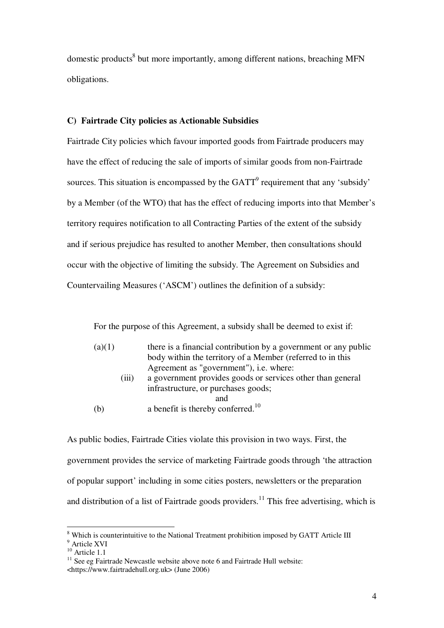domestic products<sup>8</sup> but more importantly, among different nations, breaching MFN obligations.

# **C) Fairtrade City policies as Actionable Subsidies**

Fairtrade City policies which favour imported goods from Fairtrade producers may have the effect of reducing the sale of imports of similar goods from non-Fairtrade sources. This situation is encompassed by the  $GATT<sup>9</sup>$  requirement that any 'subsidy' by a Member (of the WTO) that has the effect of reducing imports into that Member's territory requires notification to all Contracting Parties of the extent of the subsidy and if serious prejudice has resulted to another Member, then consultations should occur with the objective of limiting the subsidy. The Agreement on Subsidies and Countervailing Measures ('ASCM') outlines the definition of a subsidy:

For the purpose of this Agreement, a subsidy shall be deemed to exist if:

| (a)(1) |       | there is a financial contribution by a government or any public |
|--------|-------|-----------------------------------------------------------------|
|        |       | body within the territory of a Member (referred to in this      |
|        |       | Agreement as "government"), i.e. where:                         |
|        | (iii) | a government provides goods or services other than general      |
|        |       | infrastructure, or purchases goods;                             |
|        |       | and                                                             |
| (b)    |       | a benefit is thereby conferred. <sup>10</sup>                   |

As public bodies, Fairtrade Cities violate this provision in two ways. First, the government provides the service of marketing Fairtrade goods through 'the attraction of popular support' including in some cities posters, newsletters or the preparation and distribution of a list of Fairtrade goods providers.<sup>11</sup> This free advertising, which is

<sup>&</sup>lt;sup>8</sup> Which is counterintuitive to the National Treatment prohibition imposed by GATT Article III

<sup>9</sup> Article XVI

 $^{10}$  Article 1.1  $\,$ 

<sup>&</sup>lt;sup>11</sup> See eg Fairtrade Newcastle website above note 6 and Fairtrade Hull website: <https://www.fairtradehull.org.uk> (June 2006)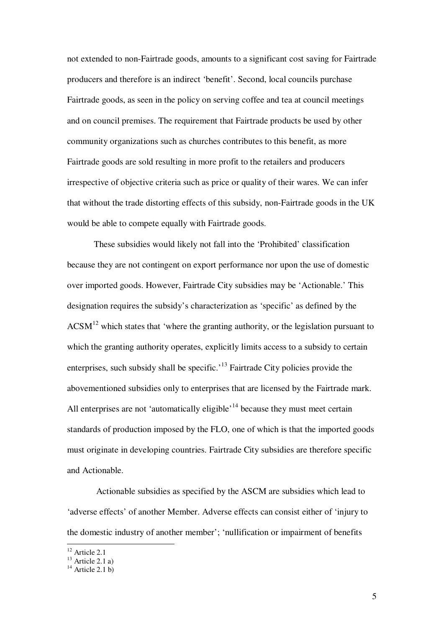not extended to non-Fairtrade goods, amounts to a significant cost saving for Fairtrade producers and therefore is an indirect 'benefit'. Second, local councils purchase Fairtrade goods, as seen in the policy on serving coffee and tea at council meetings and on council premises. The requirement that Fairtrade products be used by other community organizations such as churches contributes to this benefit, as more Fairtrade goods are sold resulting in more profit to the retailers and producers irrespective of objective criteria such as price or quality of their wares. We can infer that without the trade distorting effects of this subsidy, non-Fairtrade goods in the UK would be able to compete equally with Fairtrade goods.

 These subsidies would likely not fall into the 'Prohibited' classification because they are not contingent on export performance nor upon the use of domestic over imported goods. However, Fairtrade City subsidies may be 'Actionable.' This designation requires the subsidy's characterization as 'specific' as defined by the  $ACSM<sup>12</sup>$  which states that 'where the granting authority, or the legislation pursuant to which the granting authority operates, explicitly limits access to a subsidy to certain enterprises, such subsidy shall be specific.'<sup>13</sup> Fairtrade City policies provide the abovementioned subsidies only to enterprises that are licensed by the Fairtrade mark. All enterprises are not 'automatically eligible'<sup>14</sup> because they must meet certain standards of production imposed by the FLO, one of which is that the imported goods must originate in developing countries. Fairtrade City subsidies are therefore specific and Actionable.

 Actionable subsidies as specified by the ASCM are subsidies which lead to 'adverse effects' of another Member. Adverse effects can consist either of 'injury to the domestic industry of another member'; 'nullification or impairment of benefits

 $12$  Article 2.1

 $13$  Article 2.1 a)

 $14$  Article 2.1 b)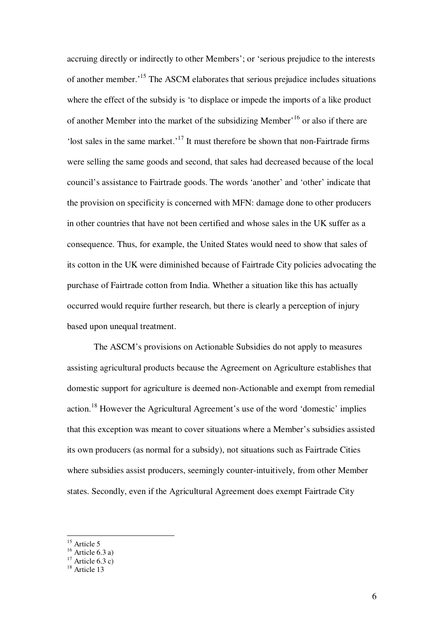accruing directly or indirectly to other Members'; or 'serious prejudice to the interests of another member.'<sup>15</sup> The ASCM elaborates that serious prejudice includes situations where the effect of the subsidy is 'to displace or impede the imports of a like product of another Member into the market of the subsidizing Member'<sup>16</sup> or also if there are 'lost sales in the same market.'<sup>17</sup> It must therefore be shown that non-Fairtrade firms were selling the same goods and second, that sales had decreased because of the local council's assistance to Fairtrade goods. The words 'another' and 'other' indicate that the provision on specificity is concerned with MFN: damage done to other producers in other countries that have not been certified and whose sales in the UK suffer as a consequence. Thus, for example, the United States would need to show that sales of its cotton in the UK were diminished because of Fairtrade City policies advocating the purchase of Fairtrade cotton from India. Whether a situation like this has actually occurred would require further research, but there is clearly a perception of injury based upon unequal treatment.

The ASCM's provisions on Actionable Subsidies do not apply to measures assisting agricultural products because the Agreement on Agriculture establishes that domestic support for agriculture is deemed non-Actionable and exempt from remedial action.<sup>18</sup> However the Agricultural Agreement's use of the word 'domestic' implies that this exception was meant to cover situations where a Member's subsidies assisted its own producers (as normal for a subsidy), not situations such as Fairtrade Cities where subsidies assist producers, seemingly counter-intuitively, from other Member states. Secondly, even if the Agricultural Agreement does exempt Fairtrade City

 $15$  Article 5

 $16$  Article 6.3 a)

 $17$  Article 6.3 c)

<sup>&</sup>lt;sup>18</sup> Article 13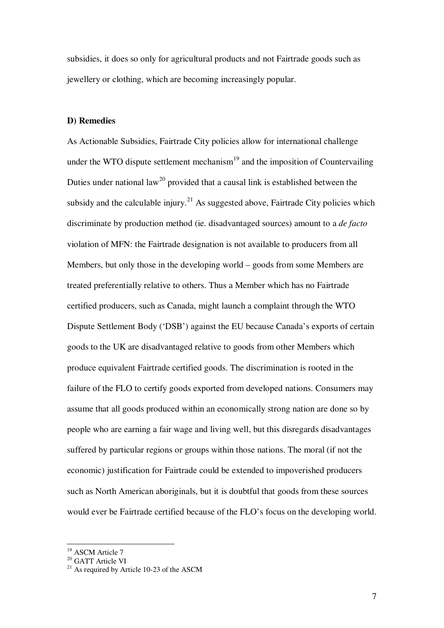subsidies, it does so only for agricultural products and not Fairtrade goods such as jewellery or clothing, which are becoming increasingly popular.

# **D) Remedies**

As Actionable Subsidies, Fairtrade City policies allow for international challenge under the WTO dispute settlement mechanism $19$  and the imposition of Countervailing Duties under national law<sup>20</sup> provided that a causal link is established between the subsidy and the calculable injury.<sup>21</sup> As suggested above, Fairtrade City policies which discriminate by production method (ie. disadvantaged sources) amount to a *de facto* violation of MFN: the Fairtrade designation is not available to producers from all Members, but only those in the developing world – goods from some Members are treated preferentially relative to others. Thus a Member which has no Fairtrade certified producers, such as Canada, might launch a complaint through the WTO Dispute Settlement Body ('DSB') against the EU because Canada's exports of certain goods to the UK are disadvantaged relative to goods from other Members which produce equivalent Fairtrade certified goods. The discrimination is rooted in the failure of the FLO to certify goods exported from developed nations. Consumers may assume that all goods produced within an economically strong nation are done so by people who are earning a fair wage and living well, but this disregards disadvantages suffered by particular regions or groups within those nations. The moral (if not the economic) justification for Fairtrade could be extended to impoverished producers such as North American aboriginals, but it is doubtful that goods from these sources would ever be Fairtrade certified because of the FLO's focus on the developing world.

<sup>&</sup>lt;sup>19</sup> ASCM Article 7

<sup>&</sup>lt;sup>20</sup> GATT Article VI

 $^{21}$  As required by Article 10-23 of the ASCM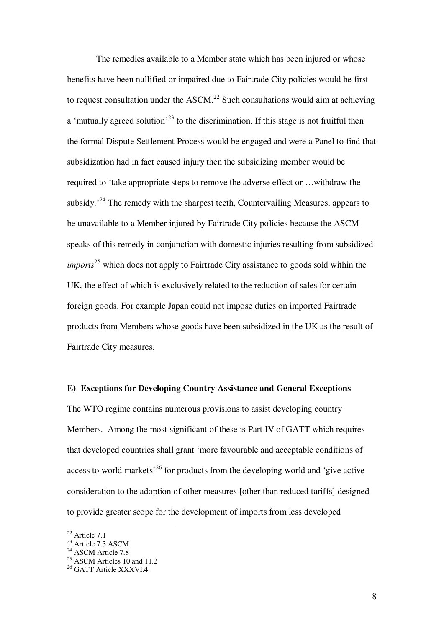The remedies available to a Member state which has been injured or whose benefits have been nullified or impaired due to Fairtrade City policies would be first to request consultation under the ASCM.<sup>22</sup> Such consultations would aim at achieving a 'mutually agreed solution'<sup>23</sup> to the discrimination. If this stage is not fruitful then the formal Dispute Settlement Process would be engaged and were a Panel to find that subsidization had in fact caused injury then the subsidizing member would be required to 'take appropriate steps to remove the adverse effect or …withdraw the subsidy.<sup> $24$ </sup> The remedy with the sharpest teeth, Countervailing Measures, appears to be unavailable to a Member injured by Fairtrade City policies because the ASCM speaks of this remedy in conjunction with domestic injuries resulting from subsidized *imports*<sup>25</sup> which does not apply to Fairtrade City assistance to goods sold within the UK, the effect of which is exclusively related to the reduction of sales for certain foreign goods. For example Japan could not impose duties on imported Fairtrade products from Members whose goods have been subsidized in the UK as the result of Fairtrade City measures.

# **E) Exceptions for Developing Country Assistance and General Exceptions**

The WTO regime contains numerous provisions to assist developing country Members. Among the most significant of these is Part IV of GATT which requires that developed countries shall grant 'more favourable and acceptable conditions of access to world markets<sup> $26$ </sup> for products from the developing world and 'give active consideration to the adoption of other measures [other than reduced tariffs] designed to provide greater scope for the development of imports from less developed

 $22$  Article 7.1

<sup>&</sup>lt;sup>23</sup> Article 7.3 ASCM

<sup>&</sup>lt;sup>24</sup> ASCM Article 7.8

 $^{25}$  ASCM Articles 10 and 11.2

<sup>&</sup>lt;sup>26</sup> GATT Article XXXVI.4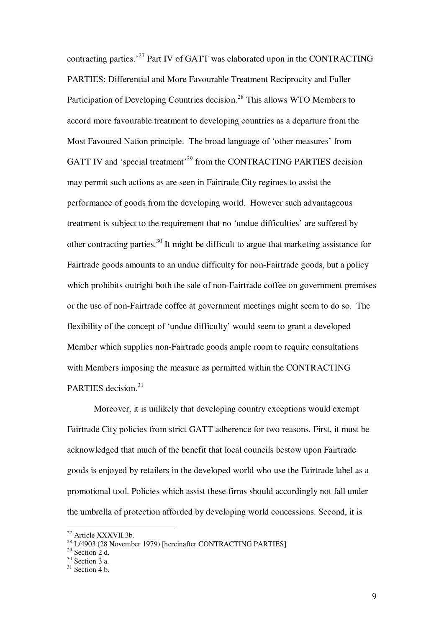contracting parties.'<sup>27</sup> Part IV of GATT was elaborated upon in the CONTRACTING PARTIES: Differential and More Favourable Treatment Reciprocity and Fuller Participation of Developing Countries decision.<sup>28</sup> This allows WTO Members to accord more favourable treatment to developing countries as a departure from the Most Favoured Nation principle. The broad language of 'other measures' from GATT IV and 'special treatment'<sup>29</sup> from the CONTRACTING PARTIES decision may permit such actions as are seen in Fairtrade City regimes to assist the performance of goods from the developing world. However such advantageous treatment is subject to the requirement that no 'undue difficulties' are suffered by other contracting parties.<sup>30</sup> It might be difficult to argue that marketing assistance for Fairtrade goods amounts to an undue difficulty for non-Fairtrade goods, but a policy which prohibits outright both the sale of non-Fairtrade coffee on government premises or the use of non-Fairtrade coffee at government meetings might seem to do so. The flexibility of the concept of 'undue difficulty' would seem to grant a developed Member which supplies non-Fairtrade goods ample room to require consultations with Members imposing the measure as permitted within the CONTRACTING PARTIES decision.<sup>31</sup>

 Moreover, it is unlikely that developing country exceptions would exempt Fairtrade City policies from strict GATT adherence for two reasons. First, it must be acknowledged that much of the benefit that local councils bestow upon Fairtrade goods is enjoyed by retailers in the developed world who use the Fairtrade label as a promotional tool. Policies which assist these firms should accordingly not fall under the umbrella of protection afforded by developing world concessions. Second, it is

<sup>&</sup>lt;sup>27</sup> Article XXXVII.3b.

<sup>&</sup>lt;sup>28</sup> L/4903 (28 November 1979) [hereinafter CONTRACTING PARTIES]

 $29$  Section 2 d.

 $30$  Section 3 a.

 $31$  Section 4 b.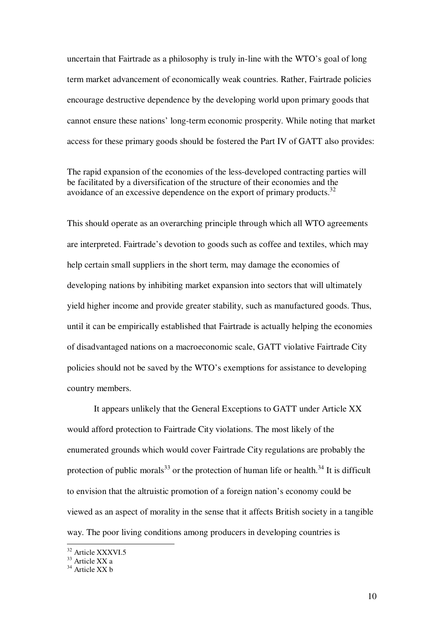uncertain that Fairtrade as a philosophy is truly in-line with the WTO's goal of long term market advancement of economically weak countries. Rather, Fairtrade policies encourage destructive dependence by the developing world upon primary goods that cannot ensure these nations' long-term economic prosperity. While noting that market access for these primary goods should be fostered the Part IV of GATT also provides:

The rapid expansion of the economies of the less-developed contracting parties will be facilitated by a diversification of the structure of their economies and the avoidance of an excessive dependence on the export of primary products. $32$ 

This should operate as an overarching principle through which all WTO agreements are interpreted. Fairtrade's devotion to goods such as coffee and textiles, which may help certain small suppliers in the short term, may damage the economies of developing nations by inhibiting market expansion into sectors that will ultimately yield higher income and provide greater stability, such as manufactured goods. Thus, until it can be empirically established that Fairtrade is actually helping the economies of disadvantaged nations on a macroeconomic scale, GATT violative Fairtrade City policies should not be saved by the WTO's exemptions for assistance to developing country members.

 It appears unlikely that the General Exceptions to GATT under Article XX would afford protection to Fairtrade City violations. The most likely of the enumerated grounds which would cover Fairtrade City regulations are probably the protection of public morals<sup>33</sup> or the protection of human life or health.<sup>34</sup> It is difficult to envision that the altruistic promotion of a foreign nation's economy could be viewed as an aspect of morality in the sense that it affects British society in a tangible way. The poor living conditions among producers in developing countries is

-

10

<sup>&</sup>lt;sup>32</sup> Article XXXVI.5

<sup>33</sup> Article XX a

 $34$  Article XX b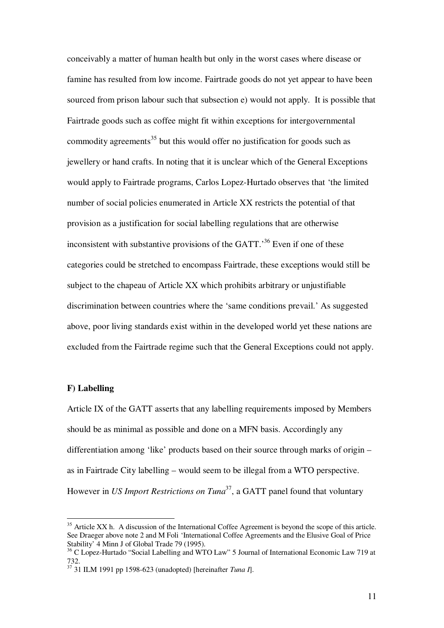conceivably a matter of human health but only in the worst cases where disease or famine has resulted from low income. Fairtrade goods do not yet appear to have been sourced from prison labour such that subsection e) would not apply. It is possible that Fairtrade goods such as coffee might fit within exceptions for intergovernmental commodity agreements<sup>35</sup> but this would offer no justification for goods such as jewellery or hand crafts. In noting that it is unclear which of the General Exceptions would apply to Fairtrade programs, Carlos Lopez-Hurtado observes that 'the limited number of social policies enumerated in Article XX restricts the potential of that provision as a justification for social labelling regulations that are otherwise inconsistent with substantive provisions of the GATT.<sup>36</sup> Even if one of these categories could be stretched to encompass Fairtrade, these exceptions would still be subject to the chapeau of Article XX which prohibits arbitrary or unjustifiable discrimination between countries where the 'same conditions prevail.' As suggested above, poor living standards exist within in the developed world yet these nations are excluded from the Fairtrade regime such that the General Exceptions could not apply.

### **F) Labelling**

-

Article IX of the GATT asserts that any labelling requirements imposed by Members should be as minimal as possible and done on a MFN basis. Accordingly any differentiation among 'like' products based on their source through marks of origin – as in Fairtrade City labelling – would seem to be illegal from a WTO perspective. However in *US Import Restrictions on Tuna*<sup>37</sup>, a GATT panel found that voluntary

 $35$  Article XX h. A discussion of the International Coffee Agreement is beyond the scope of this article. See Draeger above note 2 and M Foli 'International Coffee Agreements and the Elusive Goal of Price Stability' 4 Minn J of Global Trade 79 (1995).

<sup>&</sup>lt;sup>36</sup> C Lopez-Hurtado "Social Labelling and WTO Law" 5 Journal of International Economic Law 719 at 732.

<sup>37</sup> 31 ILM 1991 pp 1598-623 (unadopted) [hereinafter *Tuna I*].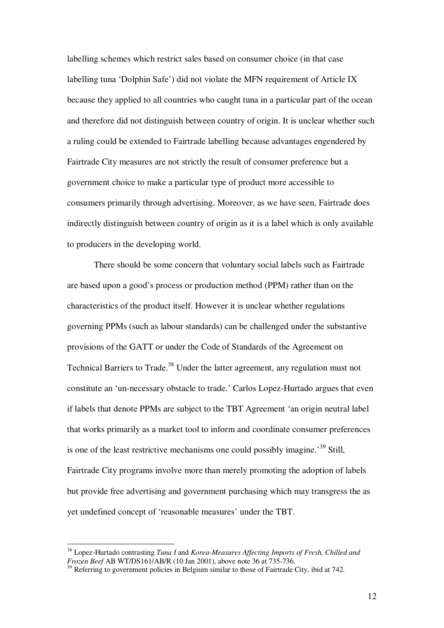labelling schemes which restrict sales based on consumer choice (in that case labelling tuna 'Dolphin Safe') did not violate the MFN requirement of Article IX because they applied to all countries who caught tuna in a particular part of the ocean and therefore did not distinguish between country of origin. It is unclear whether such a ruling could be extended to Fairtrade labelling because advantages engendered by Fairtrade City measures are not strictly the result of consumer preference but a government choice to make a particular type of product more accessible to consumers primarily through advertising. Moreover, as we have seen, Fairtrade does indirectly distinguish between country of origin as it is a label which is only available to producers in the developing world.

 There should be some concern that voluntary social labels such as Fairtrade are based upon a good's process or production method (PPM) rather than on the characteristics of the product itself. However it is unclear whether regulations governing PPMs (such as labour standards) can be challenged under the substantive provisions of the GATT or under the Code of Standards of the Agreement on Technical Barriers to Trade.<sup>38</sup> Under the latter agreement, any regulation must not constitute an 'un-necessary obstacle to trade.' Carlos Lopez-Hurtado argues that even if labels that denote PPMs are subject to the TBT Agreement 'an origin neutral label that works primarily as a market tool to inform and coordinate consumer preferences is one of the least restrictive mechanisms one could possibly imagine.'<sup>39</sup> Still, Fairtrade City programs involve more than merely promoting the adoption of labels but provide free advertising and government purchasing which may transgress the as yet undefined concept of 'reasonable measures' under the TBT.

<sup>38</sup> Lopez-Hurtado contrasting *Tuna I* and *Korea-Measures Affecting Imports of Fresh, Chilled and Frozen Beef* AB WT/DS161/AB/R (10 Jan 2001), above note 36 at 735-736.

<sup>&</sup>lt;sup>39</sup> Referring to government policies in Belgium similar to those of Fairtrade City, ibid at 742.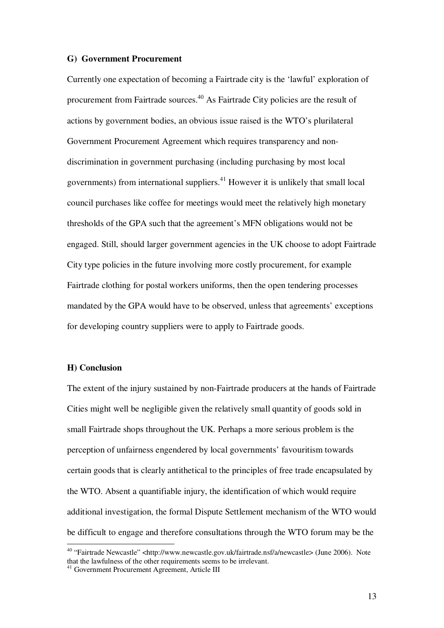### **G) Government Procurement**

Currently one expectation of becoming a Fairtrade city is the 'lawful' exploration of procurement from Fairtrade sources.<sup>40</sup> As Fairtrade City policies are the result of actions by government bodies, an obvious issue raised is the WTO's plurilateral Government Procurement Agreement which requires transparency and nondiscrimination in government purchasing (including purchasing by most local governments) from international suppliers. $41$  However it is unlikely that small local council purchases like coffee for meetings would meet the relatively high monetary thresholds of the GPA such that the agreement's MFN obligations would not be engaged. Still, should larger government agencies in the UK choose to adopt Fairtrade City type policies in the future involving more costly procurement, for example Fairtrade clothing for postal workers uniforms, then the open tendering processes mandated by the GPA would have to be observed, unless that agreements' exceptions for developing country suppliers were to apply to Fairtrade goods.

#### **H) Conclusion**

-

The extent of the injury sustained by non-Fairtrade producers at the hands of Fairtrade Cities might well be negligible given the relatively small quantity of goods sold in small Fairtrade shops throughout the UK. Perhaps a more serious problem is the perception of unfairness engendered by local governments' favouritism towards certain goods that is clearly antithetical to the principles of free trade encapsulated by the WTO. Absent a quantifiable injury, the identification of which would require additional investigation, the formal Dispute Settlement mechanism of the WTO would be difficult to engage and therefore consultations through the WTO forum may be the

<sup>&</sup>lt;sup>40</sup> "Fairtrade Newcastle" <http://www.newcastle.gov.uk/fairtrade.nsf/a/newcastle> (June 2006). Note that the lawfulness of the other requirements seems to be irrelevant.

<sup>&</sup>lt;sup>41</sup> Government Procurement Agreement, Article III